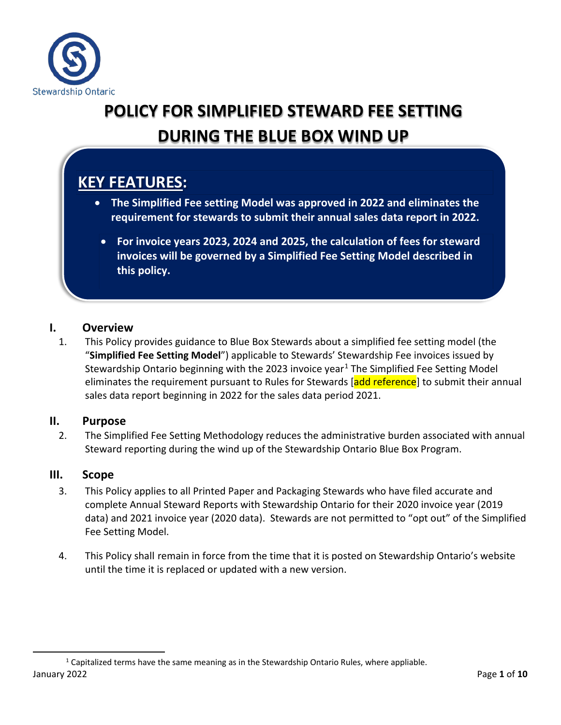

# **POLICY FOR SIMPLIFIED STEWARD FEE SETTING DURING THE BLUE BOX WIND UP**

## **KEY FEATURES:**

- **The Simplified Fee setting Model was approved in 2022 and eliminates the requirement for stewards to submit their annual sales data report in 2022.**
	- **For invoice years 2023, 2024 and 2025, the calculation of fees for steward invoices will be governed by a Simplified Fee Setting Model described in this policy.**

#### **I. Overview**

1. This Policy provides guidance to Blue Box Stewards about a simplified fee setting model (the "**Simplified Fee Setting Model**") applicable to Stewards' Stewardship Fee invoices issued by Stewardship Ontario beginning with the 2023 invoice year<sup>[1](#page-0-0)</sup> The Simplified Fee Setting Model eliminates the requirement pursuant to Rules for Stewards [add reference] to submit their annual sales data report beginning in 2022 for the sales data period 2021.

#### **II. Purpose**

2. The Simplified Fee Setting Methodology reduces the administrative burden associated with annual Steward reporting during the wind up of the Stewardship Ontario Blue Box Program.

#### **III. Scope**

- 3. This Policy applies to all Printed Paper and Packaging Stewards who have filed accurate and complete Annual Steward Reports with Stewardship Ontario for their 2020 invoice year (2019 data) and 2021 invoice year (2020 data). Stewards are not permitted to "opt out" of the Simplified Fee Setting Model.
- 4. This Policy shall remain in force from the time that it is posted on Stewardship Ontario's website until the time it is replaced or updated with a new version.

<span id="page-0-0"></span>January 2022 Page **1** of **10**  $1$  Capitalized terms have the same meaning as in the Stewardship Ontario Rules, where appliable.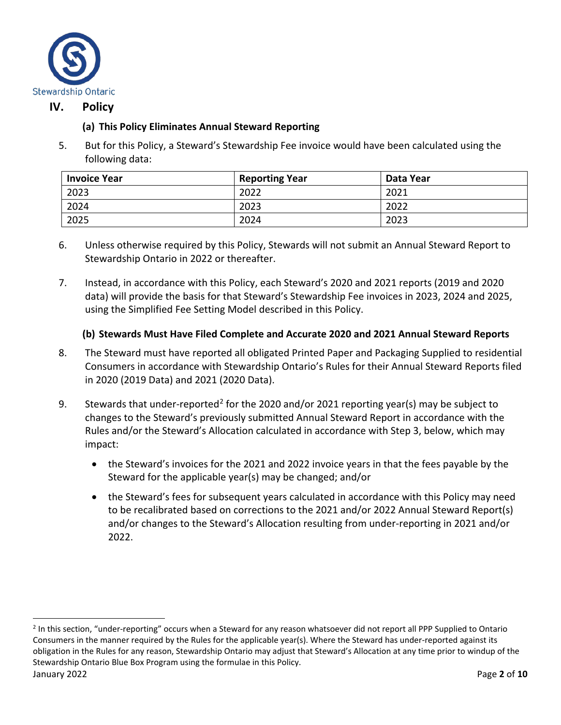

#### **IV. Policy**

#### **(a) This Policy Eliminates Annual Steward Reporting**

5. But for this Policy, a Steward's Stewardship Fee invoice would have been calculated using the following data:

| <b>Invoice Year</b> | <b>Reporting Year</b> | Data Year |
|---------------------|-----------------------|-----------|
| 2023                | 2022                  | 2021      |
| 2024                | 2023                  | 2022      |
| 2025                | 2024                  | 2023      |

- 6. Unless otherwise required by this Policy, Stewards will not submit an Annual Steward Report to Stewardship Ontario in 2022 or thereafter.
- 7. Instead, in accordance with this Policy, each Steward's 2020 and 2021 reports (2019 and 2020 data) will provide the basis for that Steward's Stewardship Fee invoices in 2023, 2024 and 2025, using the Simplified Fee Setting Model described in this Policy.

#### **(b) Stewards Must Have Filed Complete and Accurate 2020 and 2021 Annual Steward Reports**

- 8. The Steward must have reported all obligated Printed Paper and Packaging Supplied to residential Consumers in accordance with Stewardship Ontario's Rules for their Annual Steward Reports filed in 2020 (2019 Data) and 2021 (2020 Data).
- 9. Stewards that under-reported<sup>[2](#page-1-0)</sup> for the 2020 and/or 2021 reporting year(s) may be subject to changes to the Steward's previously submitted Annual Steward Report in accordance with the Rules and/or the Steward's Allocation calculated in accordance with Step 3, below, which may impact:
	- the Steward's invoices for the 2021 and 2022 invoice years in that the fees payable by the Steward for the applicable year(s) may be changed; and/or
	- the Steward's fees for subsequent years calculated in accordance with this Policy may need to be recalibrated based on corrections to the 2021 and/or 2022 Annual Steward Report(s) and/or changes to the Steward's Allocation resulting from under-reporting in 2021 and/or 2022.

<span id="page-1-0"></span>January 2022 Page **2** of **10** <sup>2</sup> In this section, "under-reporting" occurs when a Steward for any reason whatsoever did not report all PPP Supplied to Ontario Consumers in the manner required by the Rules for the applicable year(s). Where the Steward has under-reported against its obligation in the Rules for any reason, Stewardship Ontario may adjust that Steward's Allocation at any time prior to windup of the Stewardship Ontario Blue Box Program using the formulae in this Policy.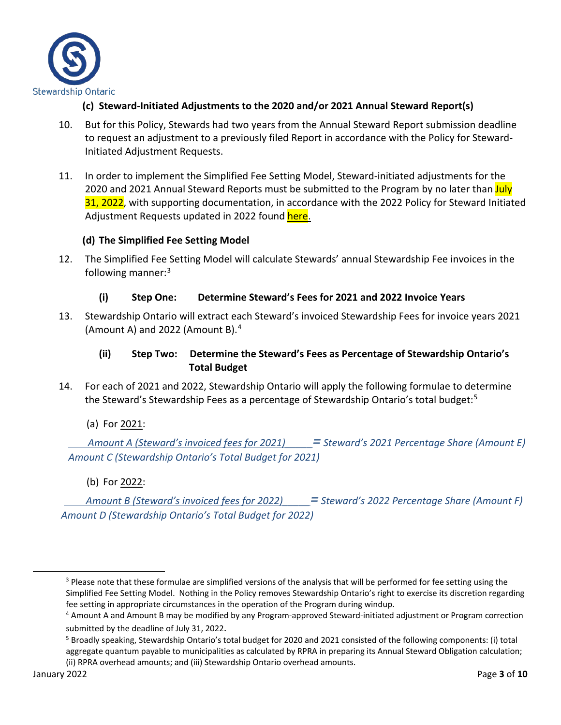

- **(c) Steward-Initiated Adjustments to the 2020 and/or 2021 Annual Steward Report(s)**
- 10. But for this Policy, Stewards had two years from the Annual Steward Report submission deadline to request an adjustment to a previously filed Report in accordance with the Policy for Steward-Initiated Adjustment Requests.
- 11. In order to implement the Simplified Fee Setting Model, Steward-initiated adjustments for the 2020 and 2021 Annual Steward Reports must be submitted to the Program by no later than July 31, 2022, with supporting documentation, in accordance with the 2022 Policy for Steward Initiated Adjustment Requests updated in 2022 found here.

#### **(d) The Simplified Fee Setting Model**

12. The Simplified Fee Setting Model will calculate Stewards' annual Stewardship Fee invoices in the following manner: $3$ 

#### **(i) Step One: Determine Steward's Fees for 2021 and 2022 Invoice Years**

13. Stewardship Ontario will extract each Steward's invoiced Stewardship Fees for invoice years 2021 (Amount A) and 2022 (Amount B).[4](#page-2-1)

#### **(ii) Step Two: Determine the Steward's Fees as Percentage of Stewardship Ontario's Total Budget**

- 14. For each of 2021 and 2022, Stewardship Ontario will apply the following formulae to determine the Steward's Stewardship Fees as a percentage of Stewardship Ontario's total budget: [5](#page-2-2)
	- (a) For 2021:

 *Amount A (Steward's invoiced fees for 2021)\_\_\_\_\_= Steward's 2021 Percentage Share (Amount E) Amount C (Stewardship Ontario's Total Budget for 2021)*

(b) For 2022:

 *Amount B (Steward's invoiced fees for 2022)\_\_\_\_\_= Steward's 2022 Percentage Share (Amount F) Amount D (Stewardship Ontario's Total Budget for 2022)*

<span id="page-2-0"></span><sup>&</sup>lt;sup>3</sup> Please note that these formulae are simplified versions of the analysis that will be performed for fee setting using the Simplified Fee Setting Model. Nothing in the Policy removes Stewardship Ontario's right to exercise its discretion regarding fee setting in appropriate circumstances in the operation of the Program during windup.

<span id="page-2-1"></span><sup>4</sup> Amount A and Amount B may be modified by any Program-approved Steward-initiated adjustment or Program correction

<span id="page-2-2"></span>submitted by the deadline of July 31, 2022.<br><sup>5</sup> Broadly speaking, Stewardship Ontario's total budget for 2020 and 2021 consisted of the following components: (i) total aggregate quantum payable to municipalities as calculated by RPRA in preparing its Annual Steward Obligation calculation; (ii) RPRA overhead amounts; and (iii) Stewardship Ontario overhead amounts.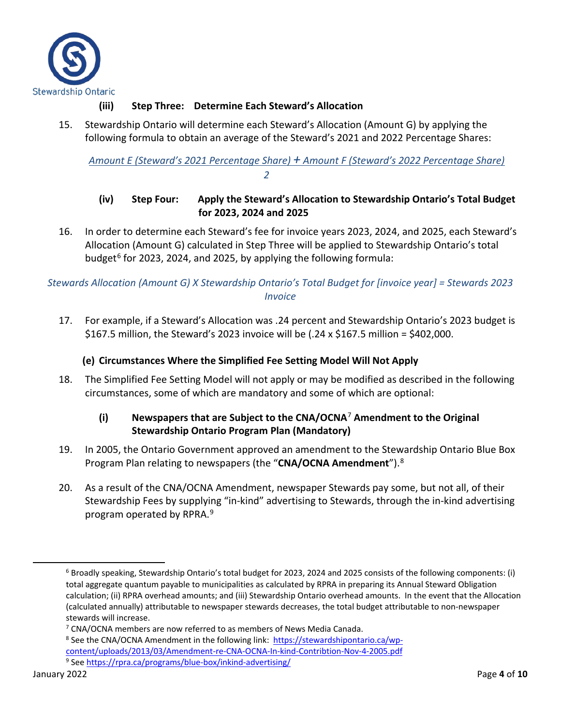

#### **(iii) Step Three: Determine Each Steward's Allocation**

15. Stewardship Ontario will determine each Steward's Allocation (Amount G) by applying the following formula to obtain an average of the Steward's 2021 and 2022 Percentage Shares:

*Amount E (Steward's 2021 Percentage Share) + Amount F (Steward's 2022 Percentage Share) 2*

#### **(iv) Step Four: Apply the Steward's Allocation to Stewardship Ontario's Total Budget for 2023, 2024 and 2025**

16. In order to determine each Steward's fee for invoice years 2023, 2024, and 2025, each Steward's Allocation (Amount G) calculated in Step Three will be applied to Stewardship Ontario's total budget $^6$  $^6$  for 2023, 2024, and 2025, by applying the following formula:

*Stewards Allocation (Amount G) X Stewardship Ontario's Total Budget for [invoice year] = Stewards 2023 Invoice*

17. For example, if a Steward's Allocation was .24 percent and Stewardship Ontario's 2023 budget is \$167.5 million, the Steward's 2023 invoice will be (.24 x \$167.5 million = \$402,000.

#### **(e) Circumstances Where the Simplified Fee Setting Model Will Not Apply**

18. The Simplified Fee Setting Model will not apply or may be modified as described in the following circumstances, some of which are mandatory and some of which are optional:

#### **(i) Newspapers that are Subject to the CNA/OCNA**[7](#page-3-1) **Amendment to the Original Stewardship Ontario Program Plan (Mandatory)**

- 19. In 2005, the Ontario Government approved an amendment to the Stewardship Ontario Blue Box Program Plan relating to newspapers (the "**CNA/OCNA Amendment**"). [8](#page-3-2)
- 20. As a result of the CNA/OCNA Amendment, newspaper Stewards pay some, but not all, of their Stewardship Fees by supplying "in-kind" advertising to Stewards, through the in-kind advertising program operated by RPRA. [9](#page-3-3)

<span id="page-3-0"></span> $6$  Broadly speaking, Stewardship Ontario's total budget for 2023, 2024 and 2025 consists of the following components: (i) total aggregate quantum payable to municipalities as calculated by RPRA in preparing its Annual Steward Obligation calculation; (ii) RPRA overhead amounts; and (iii) Stewardship Ontario overhead amounts. In the event that the Allocation (calculated annually) attributable to newspaper stewards decreases, the total budget attributable to non-newspaper stewards will increase.

<span id="page-3-1"></span><sup>7</sup> CNA/OCNA members are now referred to as members of News Media Canada.

<span id="page-3-3"></span><span id="page-3-2"></span><sup>8</sup> See the CNA/OCNA Amendment in the following link: [https://stewardshipontario.ca/wp](https://stewardshipontario.ca/wp-content/uploads/2013/03/Amendment-re-CNA-OCNA-In-kind-Contribtion-Nov-4-2005.pdf)[content/uploads/2013/03/Amendment-re-CNA-OCNA-In-kind-Contribtion-Nov-4-2005.pdf](https://stewardshipontario.ca/wp-content/uploads/2013/03/Amendment-re-CNA-OCNA-In-kind-Contribtion-Nov-4-2005.pdf) <sup>9</sup> Se[e https://rpra.ca/programs/blue-box/inkind-advertising/](https://rpra.ca/programs/blue-box/inkind-advertising/)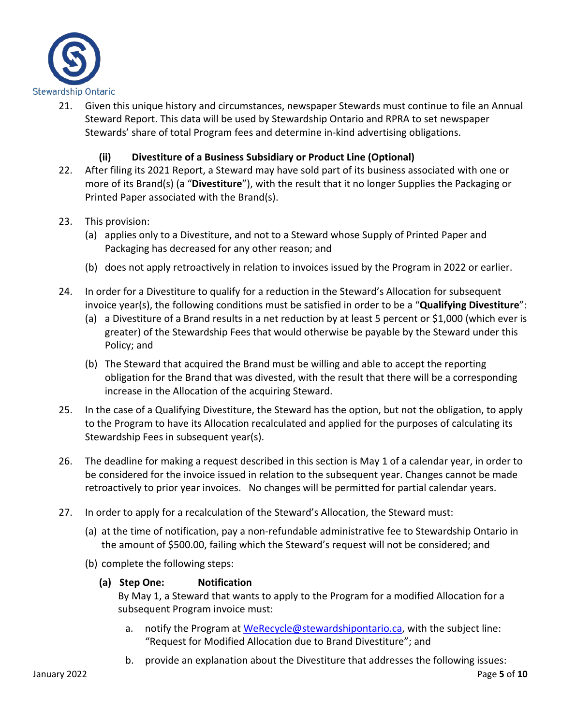

21. Given this unique history and circumstances, newspaper Stewards must continue to file an Annual Steward Report. This data will be used by Stewardship Ontario and RPRA to set newspaper Stewards' share of total Program fees and determine in-kind advertising obligations.

#### **(ii) Divestiture of a Business Subsidiary or Product Line (Optional)**

- 22. After filing its 2021 Report, a Steward may have sold part of its business associated with one or more of its Brand(s) (a "**Divestiture**"), with the result that it no longer Supplies the Packaging or Printed Paper associated with the Brand(s).
- 23. This provision:
	- (a) applies only to a Divestiture, and not to a Steward whose Supply of Printed Paper and Packaging has decreased for any other reason; and
	- (b) does not apply retroactively in relation to invoices issued by the Program in 2022 or earlier.
- 24. In order for a Divestiture to qualify for a reduction in the Steward's Allocation for subsequent invoice year(s), the following conditions must be satisfied in order to be a "**Qualifying Divestiture**":
	- (a) a Divestiture of a Brand results in a net reduction by at least 5 percent or \$1,000 (which ever is greater) of the Stewardship Fees that would otherwise be payable by the Steward under this Policy; and
	- (b) The Steward that acquired the Brand must be willing and able to accept the reporting obligation for the Brand that was divested, with the result that there will be a corresponding increase in the Allocation of the acquiring Steward.
- 25. In the case of a Qualifying Divestiture, the Steward has the option, but not the obligation, to apply to the Program to have its Allocation recalculated and applied for the purposes of calculating its Stewardship Fees in subsequent year(s).
- 26. The deadline for making a request described in this section is May 1 of a calendar year, in order to be considered for the invoice issued in relation to the subsequent year. Changes cannot be made retroactively to prior year invoices. No changes will be permitted for partial calendar years.
- 27. In order to apply for a recalculation of the Steward's Allocation, the Steward must:
	- (a) at the time of notification, pay a non-refundable administrative fee to Stewardship Ontario in the amount of \$500.00, failing which the Steward's request will not be considered; and
	- (b) complete the following steps:
		- **(a) Step One: Notification**

By May 1, a Steward that wants to apply to the Program for a modified Allocation for a subsequent Program invoice must:

- a. notify the Program a[t WeRecycle@stewardshipontario.ca,](mailto:WeRecycle@stewardshipontario.ca) with the subject line: "Request for Modified Allocation due to Brand Divestiture"; and
- b. provide an explanation about the Divestiture that addresses the following issues: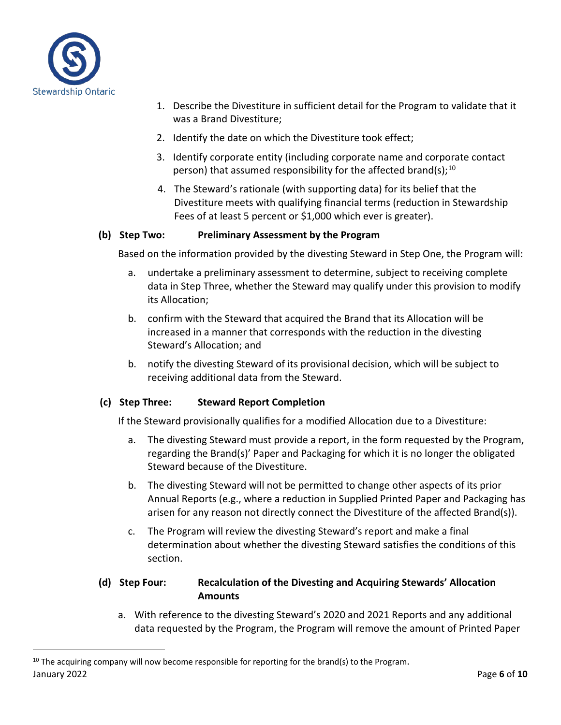

- 1. Describe the Divestiture in sufficient detail for the Program to validate that it was a Brand Divestiture;
- 2. Identify the date on which the Divestiture took effect;
- 3. Identify corporate entity (including corporate name and corporate contact person) that assumed responsibility for the affected brand(s);  $^{10}$  $^{10}$  $^{10}$
- 4. The Steward's rationale (with supporting data) for its belief that the Divestiture meets with qualifying financial terms (reduction in Stewardship Fees of at least 5 percent or \$1,000 which ever is greater).

#### **(b) Step Two: Preliminary Assessment by the Program**

Based on the information provided by the divesting Steward in Step One, the Program will:

- a. undertake a preliminary assessment to determine, subject to receiving complete data in Step Three, whether the Steward may qualify under this provision to modify its Allocation;
- b. confirm with the Steward that acquired the Brand that its Allocation will be increased in a manner that corresponds with the reduction in the divesting Steward's Allocation; and
- b. notify the divesting Steward of its provisional decision, which will be subject to receiving additional data from the Steward.

#### **(c) Step Three: Steward Report Completion**

If the Steward provisionally qualifies for a modified Allocation due to a Divestiture:

- a. The divesting Steward must provide a report, in the form requested by the Program, regarding the Brand(s)' Paper and Packaging for which it is no longer the obligated Steward because of the Divestiture.
- b. The divesting Steward will not be permitted to change other aspects of its prior Annual Reports (e.g., where a reduction in Supplied Printed Paper and Packaging has arisen for any reason not directly connect the Divestiture of the affected Brand(s)).
- c. The Program will review the divesting Steward's report and make a final determination about whether the divesting Steward satisfies the conditions of this section.

#### **(d) Step Four: Recalculation of the Divesting and Acquiring Stewards' Allocation Amounts**

a. With reference to the divesting Steward's 2020 and 2021 Reports and any additional data requested by the Program, the Program will remove the amount of Printed Paper

<span id="page-5-0"></span>January 2022 Page **6** of **10**  $10$  The acquiring company will now become responsible for reporting for the brand(s) to the Program.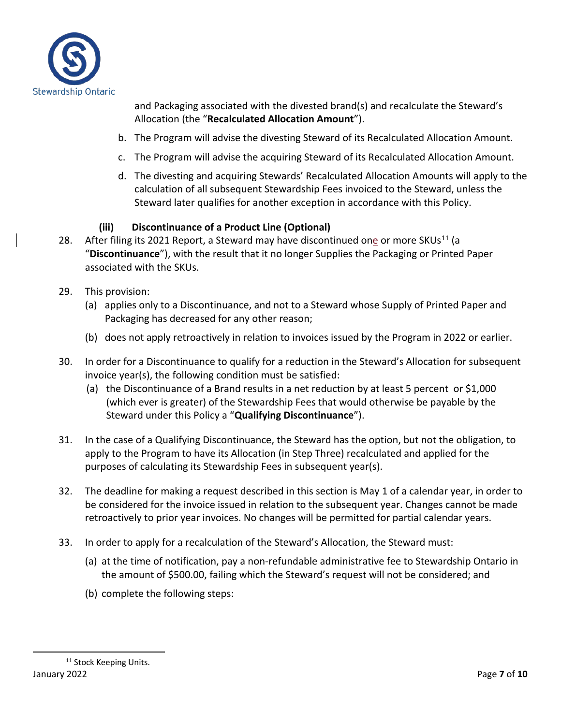

and Packaging associated with the divested brand(s) and recalculate the Steward's Allocation (the "**Recalculated Allocation Amount**").

- b. The Program will advise the divesting Steward of its Recalculated Allocation Amount.
- c. The Program will advise the acquiring Steward of its Recalculated Allocation Amount.
- d. The divesting and acquiring Stewards' Recalculated Allocation Amounts will apply to the calculation of all subsequent Stewardship Fees invoiced to the Steward, unless the Steward later qualifies for another exception in accordance with this Policy.

#### **(iii) Discontinuance of a Product Line (Optional)**

- 28. After filing its 2021 Report, a Steward may have discontinued one or more SKUs<sup>[11](#page-6-0)</sup> (a "**Discontinuance**"), with the result that it no longer Supplies the Packaging or Printed Paper associated with the SKUs.
- 29. This provision:
	- (a) applies only to a Discontinuance, and not to a Steward whose Supply of Printed Paper and Packaging has decreased for any other reason;
	- (b) does not apply retroactively in relation to invoices issued by the Program in 2022 or earlier.
- 30. In order for a Discontinuance to qualify for a reduction in the Steward's Allocation for subsequent invoice year(s), the following condition must be satisfied:
	- (a) the Discontinuance of a Brand results in a net reduction by at least 5 percent or \$1,000 (which ever is greater) of the Stewardship Fees that would otherwise be payable by the Steward under this Policy a "**Qualifying Discontinuance**").
- 31. In the case of a Qualifying Discontinuance, the Steward has the option, but not the obligation, to apply to the Program to have its Allocation (in Step Three) recalculated and applied for the purposes of calculating its Stewardship Fees in subsequent year(s).
- 32. The deadline for making a request described in this section is May 1 of a calendar year, in order to be considered for the invoice issued in relation to the subsequent year. Changes cannot be made retroactively to prior year invoices. No changes will be permitted for partial calendar years.
- <span id="page-6-0"></span>33. In order to apply for a recalculation of the Steward's Allocation, the Steward must:
	- (a) at the time of notification, pay a non-refundable administrative fee to Stewardship Ontario in the amount of \$500.00, failing which the Steward's request will not be considered; and
	- (b) complete the following steps: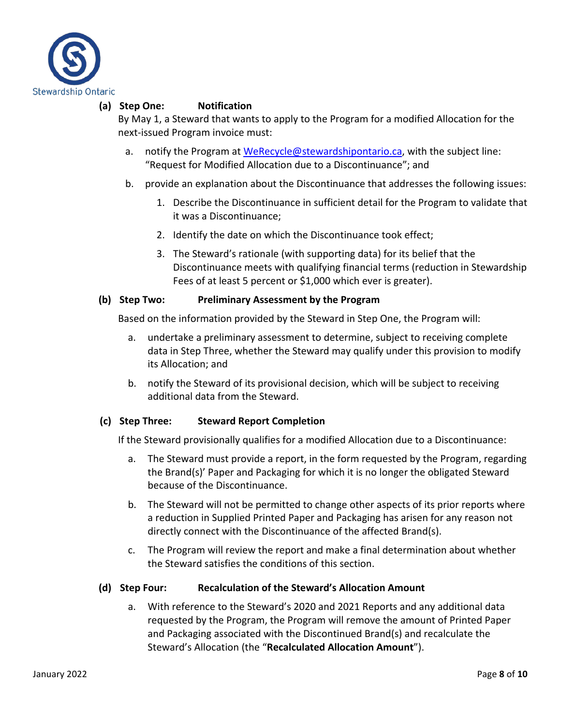

#### **(a) Step One: Notification**

By May 1, a Steward that wants to apply to the Program for a modified Allocation for the next-issued Program invoice must:

- a. notify the Program a[t WeRecycle@stewardshipontario.ca,](mailto:WeRecycle@stewardshipontario.ca) with the subject line: "Request for Modified Allocation due to a Discontinuance"; and
- b. provide an explanation about the Discontinuance that addresses the following issues:
	- 1. Describe the Discontinuance in sufficient detail for the Program to validate that it was a Discontinuance;
	- 2. Identify the date on which the Discontinuance took effect;
	- 3. The Steward's rationale (with supporting data) for its belief that the Discontinuance meets with qualifying financial terms (reduction in Stewardship Fees of at least 5 percent or \$1,000 which ever is greater).

#### **(b) Step Two: Preliminary Assessment by the Program**

Based on the information provided by the Steward in Step One, the Program will:

- a. undertake a preliminary assessment to determine, subject to receiving complete data in Step Three, whether the Steward may qualify under this provision to modify its Allocation; and
- b. notify the Steward of its provisional decision, which will be subject to receiving additional data from the Steward.

#### **(c) Step Three: Steward Report Completion**

If the Steward provisionally qualifies for a modified Allocation due to a Discontinuance:

- a. The Steward must provide a report, in the form requested by the Program, regarding the Brand(s)' Paper and Packaging for which it is no longer the obligated Steward because of the Discontinuance.
- b. The Steward will not be permitted to change other aspects of its prior reports where a reduction in Supplied Printed Paper and Packaging has arisen for any reason not directly connect with the Discontinuance of the affected Brand(s).
- c. The Program will review the report and make a final determination about whether the Steward satisfies the conditions of this section.

#### **(d) Step Four: Recalculation of the Steward's Allocation Amount**

a. With reference to the Steward's 2020 and 2021 Reports and any additional data requested by the Program, the Program will remove the amount of Printed Paper and Packaging associated with the Discontinued Brand(s) and recalculate the Steward's Allocation (the "**Recalculated Allocation Amount**").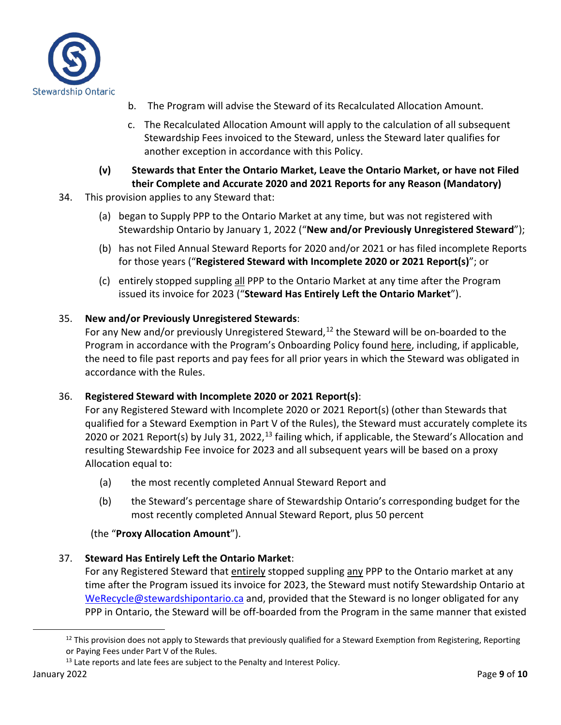

- b. The Program will advise the Steward of its Recalculated Allocation Amount.
- c. The Recalculated Allocation Amount will apply to the calculation of all subsequent Stewardship Fees invoiced to the Steward, unless the Steward later qualifies for another exception in accordance with this Policy.
- **(v) Stewards that Enter the Ontario Market, Leave the Ontario Market, or have not Filed their Complete and Accurate 2020 and 2021 Reports for any Reason (Mandatory)**
- 34. This provision applies to any Steward that:
	- (a) began to Supply PPP to the Ontario Market at any time, but was not registered with Stewardship Ontario by January 1, 2022 ("**New and/or Previously Unregistered Steward**");
	- (b) has not Filed Annual Steward Reports for 2020 and/or 2021 or has filed incomplete Reports for those years ("**Registered Steward with Incomplete 2020 or 2021 Report(s)**"; or
	- (c) entirely stopped suppling all PPP to the Ontario Market at any time after the Program issued its invoice for 2023 ("**Steward Has Entirely Left the Ontario Market**").

#### 35. **New and/or Previously Unregistered Stewards**:

For any New and/or previously Unregistered Steward,<sup>[12](#page-8-0)</sup> the Steward will be on-boarded to the Program in accordance with the Program's Onboarding Policy found here, including, if applicable, the need to file past reports and pay fees for all prior years in which the Steward was obligated in accordance with the Rules.

#### 36. **Registered Steward with Incomplete 2020 or 2021 Report(s)**:

For any Registered Steward with Incomplete 2020 or 2021 Report(s) (other than Stewards that qualified for a Steward Exemption in Part V of the Rules), the Steward must accurately complete its 2020 or 2021 Report(s) by July 31, 2022,<sup>[13](#page-8-1)</sup> failing which, if applicable, the Steward's Allocation and resulting Stewardship Fee invoice for 2023 and all subsequent years will be based on a proxy Allocation equal to:

- (a) the most recently completed Annual Steward Report and
- (b) the Steward's percentage share of Stewardship Ontario's corresponding budget for the most recently completed Annual Steward Report, plus 50 percent

#### (the "**Proxy Allocation Amount**").

#### 37. **Steward Has Entirely Left the Ontario Market**:

For any Registered Steward that entirely stopped suppling any PPP to the Ontario market at any time after the Program issued its invoice for 2023, the Steward must notify Stewardship Ontario at [WeRecycle@stewardshipontario.ca](mailto:WeRecycle@stewardshipontario.ca) and, provided that the Steward is no longer obligated for any PPP in Ontario, the Steward will be off-boarded from the Program in the same manner that existed

 $12$  This provision does not apply to Stewards that previously qualified for a Steward Exemption from Registering, Reporting or Paying Fees under Part V of the Rules.

<span id="page-8-1"></span><span id="page-8-0"></span> $13$  Late reports and late fees are subject to the Penalty and Interest Policy.